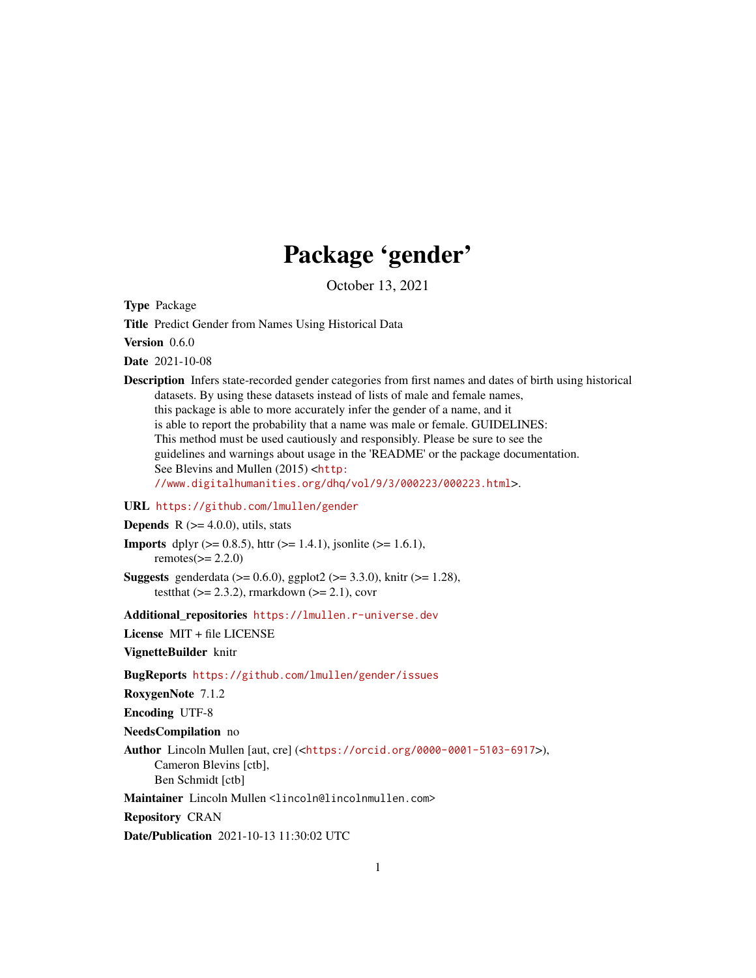## Package 'gender'

October 13, 2021

Type Package

Title Predict Gender from Names Using Historical Data

Version 0.6.0

Date 2021-10-08

Description Infers state-recorded gender categories from first names and dates of birth using historical datasets. By using these datasets instead of lists of male and female names, this package is able to more accurately infer the gender of a name, and it is able to report the probability that a name was male or female. GUIDELINES: This method must be used cautiously and responsibly. Please be sure to see the guidelines and warnings about usage in the 'README' or the package documentation. See Blevins and Mullen (2015) <[http:](http://www.digitalhumanities.org/dhq/vol/9/3/000223/000223.html) [//www.digitalhumanities.org/dhq/vol/9/3/000223/000223.html](http://www.digitalhumanities.org/dhq/vol/9/3/000223/000223.html)>.

#### URL <https://github.com/lmullen/gender>

**Depends** R  $(>= 4.0.0)$ , utils, stats

- **Imports** dplyr ( $> = 0.8.5$ ), httr ( $> = 1.4.1$ ), jsonlite ( $> = 1.6.1$ ), remotes $(>= 2.2.0)$
- **Suggests** genderdata ( $> = 0.6.0$ ), ggplot2 ( $> = 3.3.0$ ), knitr ( $> = 1.28$ ), testthat  $(>= 2.3.2)$ , rmarkdown  $(>= 2.1)$ , covr

Additional repositories <https://lmullen.r-universe.dev>

License MIT + file LICENSE

VignetteBuilder knitr

BugReports <https://github.com/lmullen/gender/issues>

RoxygenNote 7.1.2

Encoding UTF-8

NeedsCompilation no

Author Lincoln Mullen [aut, cre] (<<https://orcid.org/0000-0001-5103-6917>>), Cameron Blevins [ctb], Ben Schmidt [ctb]

Maintainer Lincoln Mullen <lincoln@lincolnmullen.com>

Repository CRAN

Date/Publication 2021-10-13 11:30:02 UTC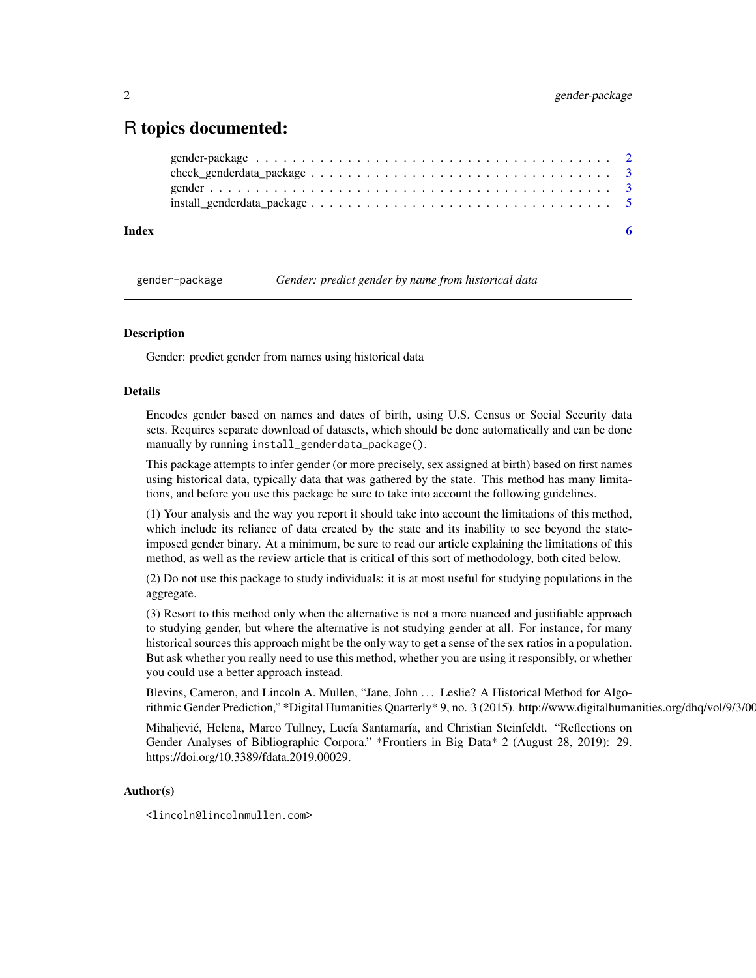## <span id="page-1-0"></span>R topics documented:

| Index |  |
|-------|--|
|       |  |
|       |  |
|       |  |
|       |  |

gender-package *Gender: predict gender by name from historical data*

#### Description

Gender: predict gender from names using historical data

#### Details

Encodes gender based on names and dates of birth, using U.S. Census or Social Security data sets. Requires separate download of datasets, which should be done automatically and can be done manually by running install\_genderdata\_package().

This package attempts to infer gender (or more precisely, sex assigned at birth) based on first names using historical data, typically data that was gathered by the state. This method has many limitations, and before you use this package be sure to take into account the following guidelines.

(1) Your analysis and the way you report it should take into account the limitations of this method, which include its reliance of data created by the state and its inability to see beyond the stateimposed gender binary. At a minimum, be sure to read our article explaining the limitations of this method, as well as the review article that is critical of this sort of methodology, both cited below.

(2) Do not use this package to study individuals: it is at most useful for studying populations in the aggregate.

(3) Resort to this method only when the alternative is not a more nuanced and justifiable approach to studying gender, but where the alternative is not studying gender at all. For instance, for many historical sources this approach might be the only way to get a sense of the sex ratios in a population. But ask whether you really need to use this method, whether you are using it responsibly, or whether you could use a better approach instead.

Blevins, Cameron, and Lincoln A. Mullen, "Jane, John . . . Leslie? A Historical Method for Algorithmic Gender Prediction," \*Digital Humanities Quarterly \* 9, no. 3 (2015). http://www.digitalhumanities.org/dhq/vol/9/3/00

Mihaljevic, Helena, Marco Tullney, Lucía Santamaría, and Christian Steinfeldt. "Reflections on ´ Gender Analyses of Bibliographic Corpora." \*Frontiers in Big Data\* 2 (August 28, 2019): 29. https://doi.org/10.3389/fdata.2019.00029.

#### Author(s)

<lincoln@lincolnmullen.com>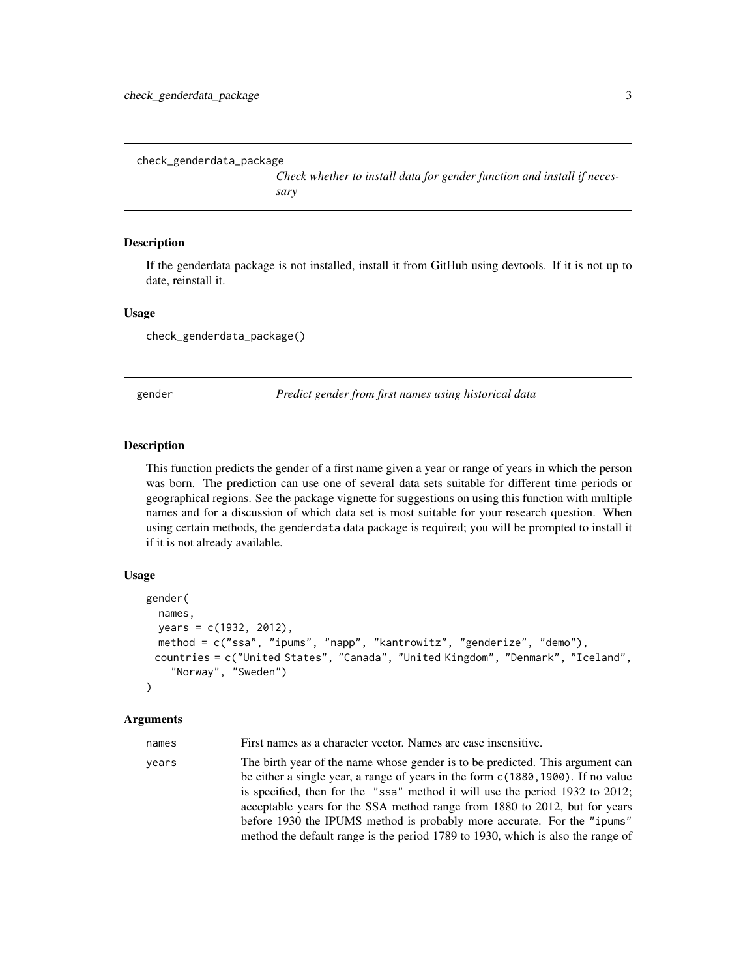<span id="page-2-0"></span>check\_genderdata\_package

*Check whether to install data for gender function and install if necessary*

#### Description

If the genderdata package is not installed, install it from GitHub using devtools. If it is not up to date, reinstall it.

#### Usage

check\_genderdata\_package()

gender *Predict gender from first names using historical data*

#### Description

This function predicts the gender of a first name given a year or range of years in which the person was born. The prediction can use one of several data sets suitable for different time periods or geographical regions. See the package vignette for suggestions on using this function with multiple names and for a discussion of which data set is most suitable for your research question. When using certain methods, the genderdata data package is required; you will be prompted to install it if it is not already available.

#### Usage

```
gender(
  names,
 years = c(1932, 2012),
 method = c("ssa", "ipums", "napp", "kantrowitz", "genderize", "demo"),
 countries = c("United States", "Canada", "United Kingdom", "Denmark", "Iceland",
    "Norway", "Sweden")
)
```
#### Arguments

names First names as a character vector. Names are case insensitive.

years The birth year of the name whose gender is to be predicted. This argument can be either a single year, a range of years in the form c(1880,1900). If no value is specified, then for the "ssa" method it will use the period 1932 to 2012; acceptable years for the SSA method range from 1880 to 2012, but for years before 1930 the IPUMS method is probably more accurate. For the "ipums" method the default range is the period 1789 to 1930, which is also the range of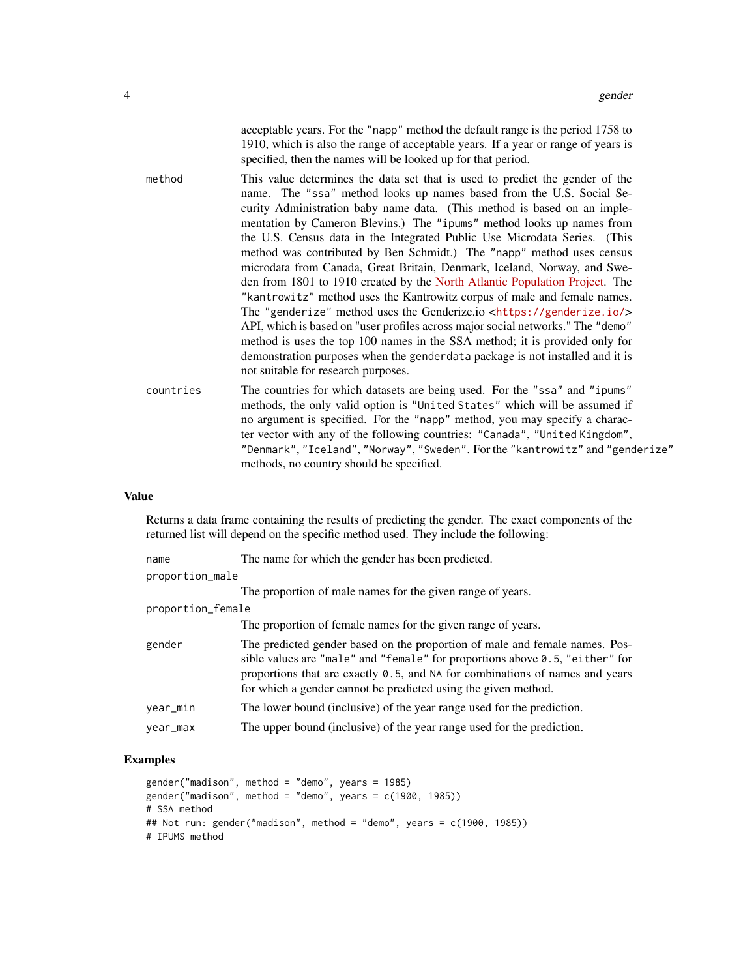acceptable years. For the "napp" method the default range is the period 1758 to 1910, which is also the range of acceptable years. If a year or range of years is specified, then the names will be looked up for that period.

- method This value determines the data set that is used to predict the gender of the name. The "ssa" method looks up names based from the U.S. Social Security Administration baby name data. (This method is based on an implementation by Cameron Blevins.) The "ipums" method looks up names from the U.S. Census data in the Integrated Public Use Microdata Series. (This method was contributed by Ben Schmidt.) The "napp" method uses census microdata from Canada, Great Britain, Denmark, Iceland, Norway, and Sweden from 1801 to 1910 created by the [North Atlantic Population Project.](https://www.nappdata.org/napp/) The "kantrowitz" method uses the Kantrowitz corpus of male and female names. The "genderize" method uses the Genderize.io <<https://genderize.io/>> API, which is based on "user profiles across major social networks." The "demo" method is uses the top 100 names in the SSA method; it is provided only for demonstration purposes when the genderdata package is not installed and it is not suitable for research purposes.
- countries The countries for which datasets are being used. For the "ssa" and "ipums" methods, the only valid option is "United States" which will be assumed if no argument is specified. For the "napp" method, you may specify a character vector with any of the following countries: "Canada", "United Kingdom", "Denmark", "Iceland", "Norway", "Sweden". For the "kantrowitz" and "genderize" methods, no country should be specified.

#### Value

Returns a data frame containing the results of predicting the gender. The exact components of the returned list will depend on the specific method used. They include the following:

| name              | The name for which the gender has been predicted.                                                                                                                                                                                                                                                             |
|-------------------|---------------------------------------------------------------------------------------------------------------------------------------------------------------------------------------------------------------------------------------------------------------------------------------------------------------|
| proportion_male   |                                                                                                                                                                                                                                                                                                               |
|                   | The proportion of male names for the given range of years.                                                                                                                                                                                                                                                    |
| proportion_female |                                                                                                                                                                                                                                                                                                               |
|                   | The proportion of female names for the given range of years.                                                                                                                                                                                                                                                  |
| gender            | The predicted gender based on the proportion of male and female names. Pos-<br>sible values are "male" and "female" for proportions above 0.5, "either" for<br>proportions that are exactly 0.5, and NA for combinations of names and years<br>for which a gender cannot be predicted using the given method. |
| year_min          | The lower bound (inclusive) of the year range used for the prediction.                                                                                                                                                                                                                                        |
| year_max          | The upper bound (inclusive) of the year range used for the prediction.                                                                                                                                                                                                                                        |

#### Examples

```
gender("madison", method = "demo", years = 1985)
gender("madians", method = "demo", years = c(1900, 1985))
# SSA method
## Not run: gender("madison", method = "demo", years = c(1900, 1985))
# IPUMS method
```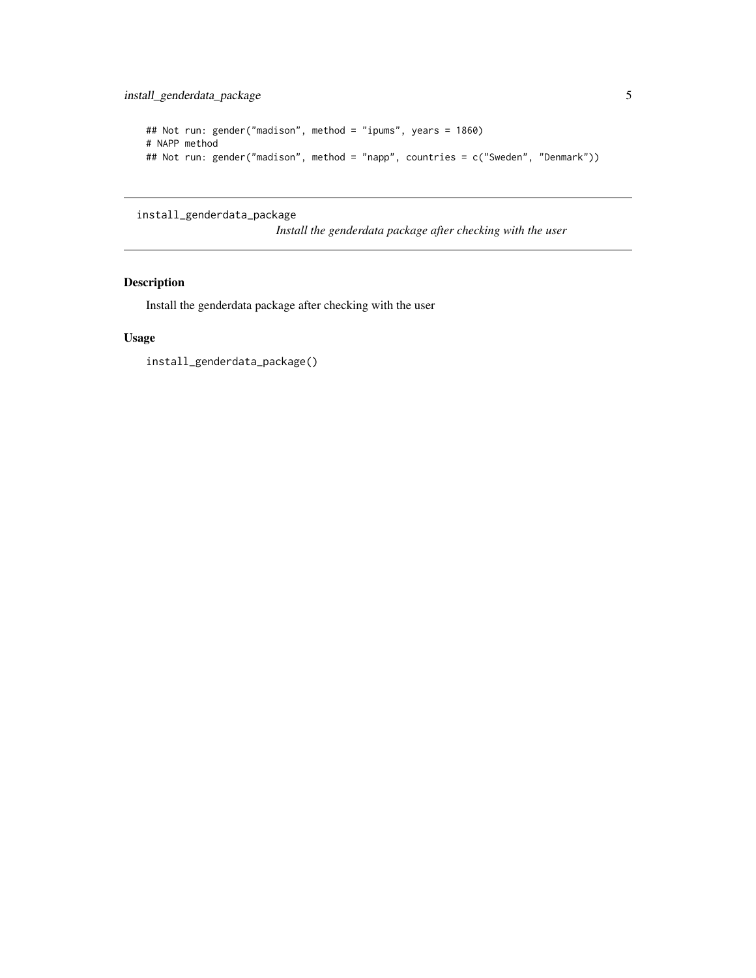```
## Not run: gender("madison", method = "ipums", years = 1860)
# NAPP method
## Not run: gender("madison", method = "napp", countries = c("Sweden", "Denmark"))
```
install\_genderdata\_package

*Install the genderdata package after checking with the user*

### Description

Install the genderdata package after checking with the user

#### Usage

install\_genderdata\_package()